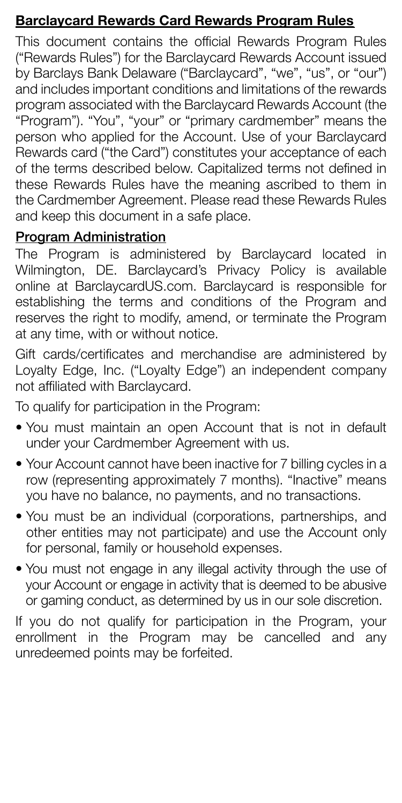## Barclaycard Rewards Card Rewards Program Rules

This document contains the official Rewards Program Rules ("Rewards Rules") for the Barclaycard Rewards Account issued by Barclays Bank Delaware ("Barclaycard", "we", "us", or "our") and includes important conditions and limitations of the rewards program associated with the Barclaycard Rewards Account (the "Program"). "You", "your" or "primary cardmember" means the person who applied for the Account. Use of your Barclaycard Rewards card ("the Card") constitutes your acceptance of each of the terms described below. Capitalized terms not defined in these Rewards Rules have the meaning ascribed to them in the Cardmember Agreement. Please read these Rewards Rules and keep this document in a safe place.

#### Program Administration

The Program is administered by Barclaycard located in Wilmington, DE. Barclaycard's Privacy Policy is available online at BarclaycardUS.com. Barclaycard is responsible for establishing the terms and conditions of the Program and reserves the right to modify, amend, or terminate the Program at any time, with or without notice.

Gift cards/certificates and merchandise are administered by Loyalty Edge, Inc. ("Loyalty Edge") an independent company not affiliated with Barclaycard.

To qualify for participation in the Program:

- You must maintain an open Account that is not in default under your Cardmember Agreement with us.
- Your Account cannot have been inactive for 7 billing cycles in a row (representing approximately 7 months). "Inactive" means you have no balance, no payments, and no transactions.
- You must be an individual (corporations, partnerships, and other entities may not participate) and use the Account only for personal, family or household expenses.
- You must not engage in any illegal activity through the use of your Account or engage in activity that is deemed to be abusive or gaming conduct, as determined by us in our sole discretion.

If you do not qualify for participation in the Program, your enrollment in the Program may be cancelled and any unredeemed points may be forfeited.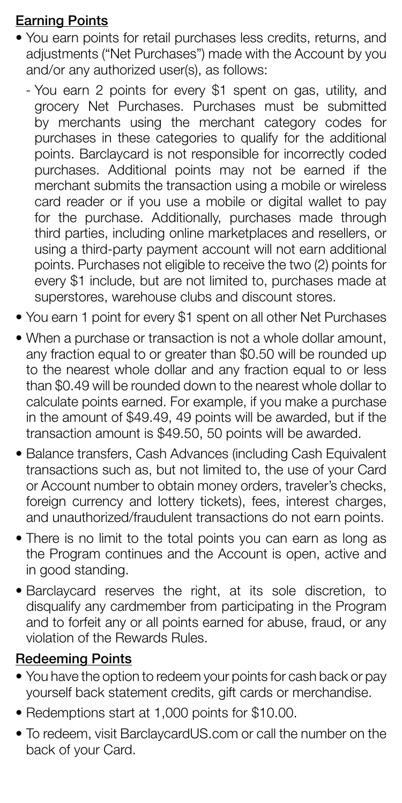## Earning Points

- You earn points for retail purchases less credits, returns, and adjustments ("Net Purchases") made with the Account by you and/or any authorized user(s), as follows:
	- You earn 2 points for every \$1 spent on gas, utility, and grocery Net Purchases. Purchases must be submitted by merchants using the merchant category codes for purchases in these categories to qualify for the additional points. Barclaycard is not responsible for incorrectly coded purchases. Additional points may not be earned if the merchant submits the transaction using a mobile or wireless card reader or if you use a mobile or digital wallet to pay for the purchase. Additionally, purchases made through third parties, including online marketplaces and resellers, or using a third-party payment account will not earn additional points. Purchases not eligible to receive the two (2) points for every \$1 include, but are not limited to, purchases made at superstores, warehouse clubs and discount stores.
- You earn 1 point for every \$1 spent on all other Net Purchases
- When a purchase or transaction is not a whole dollar amount, any fraction equal to or greater than \$0.50 will be rounded up to the nearest whole dollar and any fraction equal to or less than \$0.49 will be rounded down to the nearest whole dollar to calculate points earned. For example, if you make a purchase in the amount of \$49.49, 49 points will be awarded, but if the transaction amount is \$49.50, 50 points will be awarded.
- Balance transfers, Cash Advances (including Cash Equivalent transactions such as, but not limited to, the use of your Card or Account number to obtain money orders, traveler's checks, foreign currency and lottery tickets), fees, interest charges, and unauthorized/fraudulent transactions do not earn points.
- There is no limit to the total points you can earn as long as the Program continues and the Account is open, active and in good standing.
- Barclaycard reserves the right, at its sole discretion, to disqualify any cardmember from participating in the Program and to forfeit any or all points earned for abuse, fraud, or any violation of the Rewards Rules.

### Redeeming Points

- You have the option to redeem your points for cash back or pay yourself back statement credits, gift cards or merchandise.
- Redemptions start at 1,000 points for \$10.00.
- To redeem, visit BarclaycardUS.com or call the number on the back of your Card.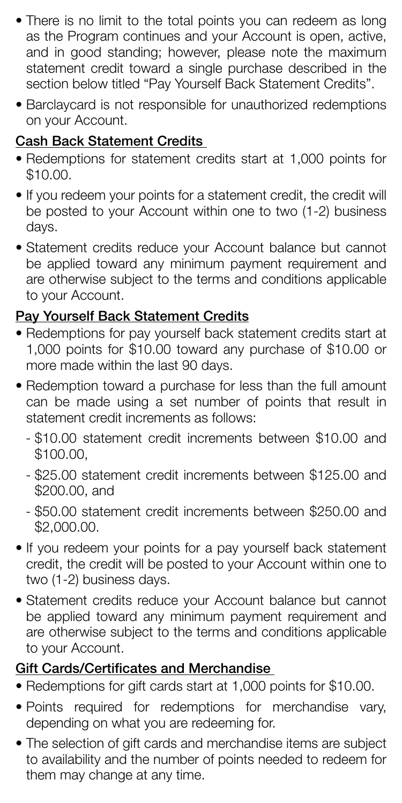- There is no limit to the total points you can redeem as long as the Program continues and your Account is open, active, and in good standing; however, please note the maximum statement credit toward a single purchase described in the section below titled "Pay Yourself Back Statement Credits".
- Barclaycard is not responsible for unauthorized redemptions on your Account.

## Cash Back Statement Credits

- Redemptions for statement credits start at 1,000 points for \$10.00.
- If you redeem your points for a statement credit, the credit will be posted to your Account within one to two (1-2) business days.
- Statement credits reduce your Account balance but cannot be applied toward any minimum payment requirement and are otherwise subject to the terms and conditions applicable to your Account.

### Pay Yourself Back Statement Credits

- Redemptions for pay yourself back statement credits start at 1,000 points for \$10.00 toward any purchase of \$10.00 or more made within the last 90 days.
- Redemption toward a purchase for less than the full amount can be made using a set number of points that result in statement credit increments as follows:
	- \$10.00 statement credit increments between \$10.00 and \$100.00,
	- \$25.00 statement credit increments between \$125.00 and \$200.00, and
	- \$50.00 statement credit increments between \$250.00 and \$2,000.00.
- If you redeem your points for a pay yourself back statement credit, the credit will be posted to your Account within one to two (1-2) business days.
- Statement credits reduce your Account balance but cannot be applied toward any minimum payment requirement and are otherwise subject to the terms and conditions applicable to your Account.

# Gift Cards/Certificates and Merchandise

- Redemptions for gift cards start at 1,000 points for \$10.00.
- Points required for redemptions for merchandise vary, depending on what you are redeeming for.
- The selection of gift cards and merchandise items are subject to availability and the number of points needed to redeem for them may change at any time.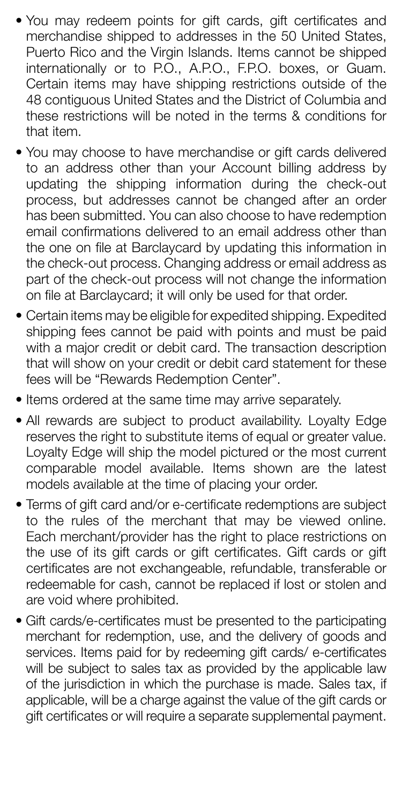- You may redeem points for gift cards, gift certificates and merchandise shipped to addresses in the 50 United States, Puerto Rico and the Virgin Islands. Items cannot be shipped internationally or to P.O., A.P.O., F.P.O. boxes, or Guam. Certain items may have shipping restrictions outside of the 48 contiguous United States and the District of Columbia and these restrictions will be noted in the terms & conditions for that item.
- You may choose to have merchandise or gift cards delivered to an address other than your Account billing address by updating the shipping information during the check-out process, but addresses cannot be changed after an order has been submitted. You can also choose to have redemption email confirmations delivered to an email address other than the one on file at Barclaycard by updating this information in the check-out process. Changing address or email address as part of the check-out process will not change the information on file at Barclaycard; it will only be used for that order.
- Certain items may be eligible for expedited shipping. Expedited shipping fees cannot be paid with points and must be paid with a major credit or debit card. The transaction description that will show on your credit or debit card statement for these fees will be "Rewards Redemption Center".
- Items ordered at the same time may arrive separately.
- All rewards are subject to product availability. Loyalty Edge reserves the right to substitute items of equal or greater value. Loyalty Edge will ship the model pictured or the most current comparable model available. Items shown are the latest models available at the time of placing your order.
- Terms of gift card and/or e-certificate redemptions are subject to the rules of the merchant that may be viewed online. Each merchant/provider has the right to place restrictions on the use of its gift cards or gift certificates. Gift cards or gift certificates are not exchangeable, refundable, transferable or redeemable for cash, cannot be replaced if lost or stolen and are void where prohibited.
- Gift cards/e-certificates must be presented to the participating merchant for redemption, use, and the delivery of goods and services. Items paid for by redeeming gift cards/ e-certificates will be subject to sales tax as provided by the applicable law of the jurisdiction in which the purchase is made. Sales tax, if applicable, will be a charge against the value of the gift cards or gift certificates or will require a separate supplemental payment.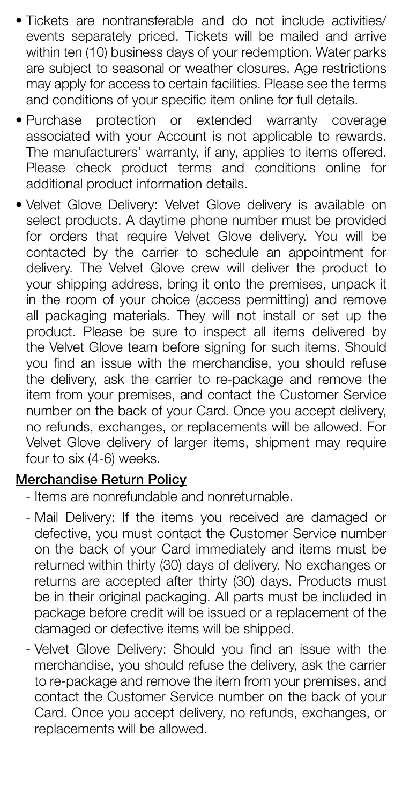- Tickets are nontransferable and do not include activities/ events separately priced. Tickets will be mailed and arrive within ten (10) business days of your redemption. Water parks are subject to seasonal or weather closures. Age restrictions may apply for access to certain facilities. Please see the terms and conditions of your specific item online for full details.
- Purchase protection or extended warranty coverage associated with your Account is not applicable to rewards. The manufacturers' warranty, if any, applies to items offered. Please check product terms and conditions online for additional product information details.
- Velvet Glove Delivery: Velvet Glove delivery is available on select products. A daytime phone number must be provided for orders that require Velvet Glove delivery. You will be contacted by the carrier to schedule an appointment for delivery. The Velvet Glove crew will deliver the product to your shipping address, bring it onto the premises, unpack it in the room of your choice (access permitting) and remove all packaging materials. They will not install or set up the product. Please be sure to inspect all items delivered by the Velvet Glove team before signing for such items. Should you find an issue with the merchandise, you should refuse the delivery, ask the carrier to re-package and remove the item from your premises, and contact the Customer Service number on the back of your Card. Once you accept delivery, no refunds, exchanges, or replacements will be allowed. For Velvet Glove delivery of larger items, shipment may require four to six (4-6) weeks.

## Merchandise Return Policy

- Items are nonrefundable and nonreturnable.
- Mail Delivery: If the items you received are damaged or defective, you must contact the Customer Service number on the back of your Card immediately and items must be returned within thirty (30) days of delivery. No exchanges or returns are accepted after thirty (30) days. Products must be in their original packaging. All parts must be included in package before credit will be issued or a replacement of the damaged or defective items will be shipped.
- Velvet Glove Delivery: Should you find an issue with the merchandise, you should refuse the delivery, ask the carrier to re-package and remove the item from your premises, and contact the Customer Service number on the back of your Card. Once you accept delivery, no refunds, exchanges, or replacements will be allowed.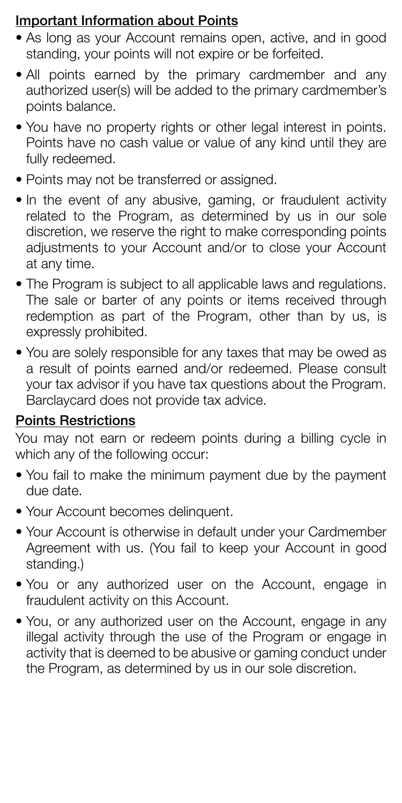### Important Information about Points

- As long as your Account remains open, active, and in good standing, your points will not expire or be forfeited.
- All points earned by the primary cardmember and any authorized user(s) will be added to the primary cardmember's points balance.
- You have no property rights or other legal interest in points. Points have no cash value or value of any kind until they are fully redeemed.
- Points may not be transferred or assigned.
- In the event of any abusive, gaming, or fraudulent activity related to the Program, as determined by us in our sole discretion, we reserve the right to make corresponding points adjustments to your Account and/or to close your Account at any time.
- The Program is subject to all applicable laws and regulations. The sale or barter of any points or items received through redemption as part of the Program, other than by us, is expressly prohibited.
- You are solely responsible for any taxes that may be owed as a result of points earned and/or redeemed. Please consult your tax advisor if you have tax questions about the Program. Barclaycard does not provide tax advice.

#### Points Restrictions

You may not earn or redeem points during a billing cycle in which any of the following occur:

- You fail to make the minimum payment due by the payment due date.
- Your Account becomes delinquent.
- Your Account is otherwise in default under your Cardmember Agreement with us. (You fail to keep your Account in good standing.)
- You or any authorized user on the Account, engage in fraudulent activity on this Account.
- You, or any authorized user on the Account, engage in any illegal activity through the use of the Program or engage in activity that is deemed to be abusive or gaming conduct under the Program, as determined by us in our sole discretion.